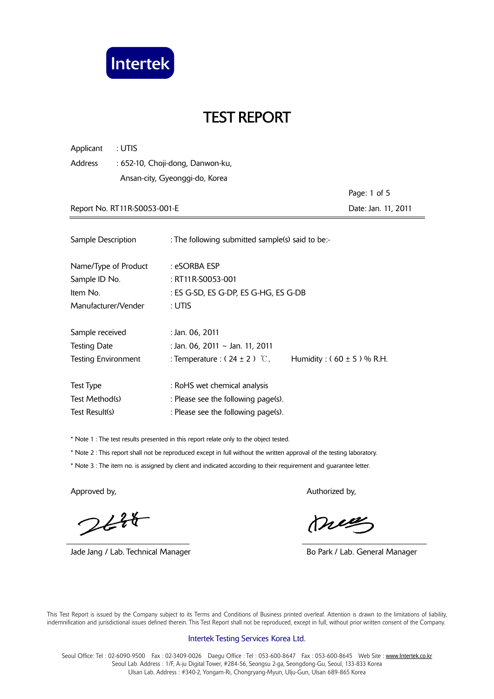

| Applicant<br>: UTIS                                |                                                                   |                     |  |  |
|----------------------------------------------------|-------------------------------------------------------------------|---------------------|--|--|
| <b>Address</b><br>: 652-10, Choji-dong, Danwon-ku, |                                                                   |                     |  |  |
|                                                    | Ansan-city, Gyeonggi-do, Korea                                    |                     |  |  |
|                                                    |                                                                   | Page: 1 of 5        |  |  |
| Report No. RT11R-S0053-001-E                       |                                                                   | Date: Jan. 11, 2011 |  |  |
|                                                    |                                                                   |                     |  |  |
| Sample Description                                 | : The following submitted sample(s) said to be:-                  |                     |  |  |
| Name/Type of Product                               | : eSORBA ESP                                                      |                     |  |  |
| Sample ID No.                                      | : RT11R-S0053-001                                                 |                     |  |  |
| Item No.                                           | : ES G-SD, ES G-DP, ES G-HG, ES G-DB                              |                     |  |  |
| Manufacturer/Vender                                | : UTIS                                                            |                     |  |  |
| Sample received                                    | : Jan. 06, 2011                                                   |                     |  |  |
| <b>Testing Date</b>                                | : Jan. 06, 2011 ~ Jan. 11, 2011                                   |                     |  |  |
| <b>Testing Environment</b>                         | : Temperature : $(24 \pm 2)$ °C,<br>Humidity: $(60 \pm 5)$ % R.H. |                     |  |  |
|                                                    |                                                                   |                     |  |  |
| <b>Test Type</b>                                   | : RoHS wet chemical analysis                                      |                     |  |  |
| Test Method(s)                                     | : Please see the following page(s).                               |                     |  |  |
| Test Result(s)                                     | : Please see the following page(s).                               |                     |  |  |

\* Note 1 : The test results presented in this report relate only to the object tested.

\* Note 2 : This report shall not be reproduced except in full without the written approval of the testing laboratory.

\* Note 3 : The item no. is assigned by client and indicated according to their requirement and guarantee letter.

 $244$ 

Jade Jang / Lab. Technical Manager **Bo Park / Lab. General Manager** Bo Park / Lab. General Manager

Approved by, Authorized by, Authorized by, Authorized by,

meg

 This Test Report is issued by the Company subject to its Terms and Conditions of Business printed overleaf. Attention is drawn to the limitations of liability, indemnification and jurisdictional issues defined therein. This Test Report shall not be reproduced, except in full, without prior written consent of the Company.

#### Intertek Testing Services Korea Ltd.

Seoul Office: Tel: 02-6090-9500 Fax: 02-3409-0026 Daegu Office: Tel: 053-600-8647 Fax: 053-600-8645 Web Site: www.Intertek.co.kr Seoul Lab. Address : 1/F, A-ju Digital Tower, #284-56, Seongsu 2-ga, Seongdong-Gu, Seoul, 133-833 Korea Ulsan Lab. Address : #340-2, Yongam-Ri, Chongryang-Myun, Ulju-Gun, Ulsan 689-865 Korea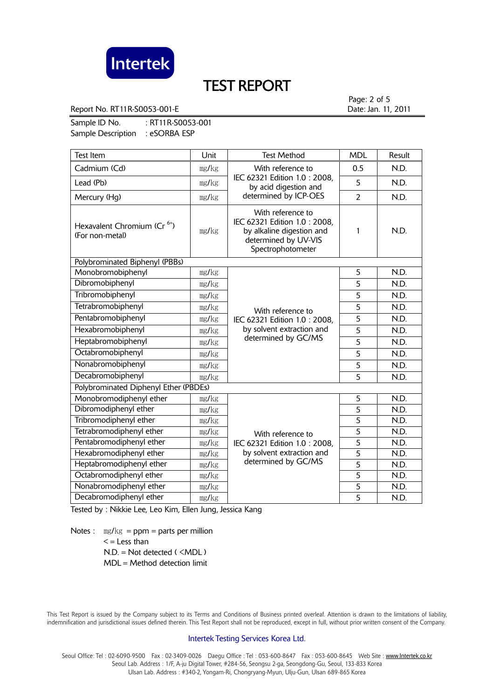

Report No. RT11R-S0053-001-E **Date:** Jan. 11, 2011

Page: 2 of 5

Sample ID No. : RT11R-S0053-001 Sample Description : eSORBA ESP

| <b>Test Item</b>                                           | Unit  | <b>Test Method</b>                                                                                                          | <b>MDL</b>     | Result |
|------------------------------------------------------------|-------|-----------------------------------------------------------------------------------------------------------------------------|----------------|--------|
| Cadmium (Cd)                                               | mg/kg | With reference to                                                                                                           | 0.5            | N.D.   |
| Lead (Pb)                                                  | mg/kg | IEC 62321 Edition 1.0: 2008,<br>by acid digestion and<br>determined by ICP-OES                                              | 5              | N.D.   |
| Mercury (Hg)                                               | mg/kg |                                                                                                                             | $\overline{2}$ | N.D.   |
| Hexavalent Chromium (Cr <sup>6+</sup> )<br>(For non-metal) | mg/kg | With reference to<br>IEC 62321 Edition 1.0: 2008,<br>by alkaline digestion and<br>determined by UV-VIS<br>Spectrophotometer | 1              | N.D.   |
| Polybrominated Biphenyl (PBBs)                             |       |                                                                                                                             |                |        |
| Monobromobiphenyl                                          | mg/kg |                                                                                                                             | 5              | N.D.   |
| Dibromobiphenyl                                            | mg/kg |                                                                                                                             | 5              | N.D.   |
| Tribromobiphenyl                                           | mg/kg | With reference to<br>IEC 62321 Edition 1.0: 2008,<br>by solvent extraction and<br>determined by GC/MS                       | 5              | N.D.   |
| Tetrabromobiphenyl                                         | mg/kg |                                                                                                                             | 5              | N.D.   |
| Pentabromobiphenyl                                         | mg/kg |                                                                                                                             | 5              | N.D.   |
| Hexabromobiphenyl                                          | mg/kg |                                                                                                                             | 5              | N.D.   |
| Heptabromobiphenyl                                         | mg/kg |                                                                                                                             | $\overline{5}$ | N.D.   |
| Octabromobiphenyl                                          | mg/kg |                                                                                                                             | 5              | N.D.   |
| Nonabromobiphenyl                                          | mg/kg |                                                                                                                             | 5              | N.D.   |
| Decabromobiphenyl                                          | mg/kg |                                                                                                                             | 5              | N.D.   |
| Polybrominated Diphenyl Ether (PBDEs)                      |       |                                                                                                                             |                |        |
| Monobromodiphenyl ether                                    | mg/kg |                                                                                                                             | 5              | N.D.   |
| Dibromodiphenyl ether                                      | mg/kg |                                                                                                                             | $\overline{5}$ | N.D.   |
| Tribromodiphenyl ether                                     | mg/kg | With reference to<br>IEC 62321 Edition 1.0: 2008,<br>by solvent extraction and                                              | 5              | N.D.   |
| Tetrabromodiphenyl ether                                   | mg/kg |                                                                                                                             | $\overline{5}$ | N.D.   |
| Pentabromodiphenyl ether                                   | mg/kg |                                                                                                                             | $\overline{5}$ | N.D.   |
| Hexabromodiphenyl ether                                    | mg/kg |                                                                                                                             | $\overline{5}$ | N.D.   |
| Heptabromodiphenyl ether                                   | mg/kg | determined by GC/MS                                                                                                         | $\overline{5}$ | N.D.   |
| Octabromodiphenyl ether                                    | mg/kg |                                                                                                                             | $\overline{5}$ | N.D.   |
| Nonabromodiphenyl ether                                    | mg/kg |                                                                                                                             | 5              | N.D.   |
| Decabromodiphenyl ether                                    | mg/kg |                                                                                                                             | $\overline{5}$ | N.D.   |

Tested by : Nikkie Lee, Leo Kim, Ellen Jung, Jessica Kang

Notes :  $mg/kg = ppm = parts per million$  $\leq$  = Less than  $N.D. = Not detected ( **MDL**)$ MDL = Method detection limit

 This Test Report is issued by the Company subject to its Terms and Conditions of Business printed overleaf. Attention is drawn to the limitations of liability, indemnification and jurisdictional issues defined therein. This Test Report shall not be reproduced, except in full, without prior written consent of the Company.

### Intertek Testing Services Korea Ltd.

Seoul Office: Tel: 02-6090-9500 Fax: 02-3409-0026 Daegu Office: Tel: 053-600-8647 Fax: 053-600-8645 Web Site: www.Intertek.co.kr Seoul Lab. Address : 1/F, A-ju Digital Tower, #284-56, Seongsu 2-ga, Seongdong-Gu, Seoul, 133-833 Korea Ulsan Lab. Address : #340-2, Yongam-Ri, Chongryang-Myun, Ulju-Gun, Ulsan 689-865 Korea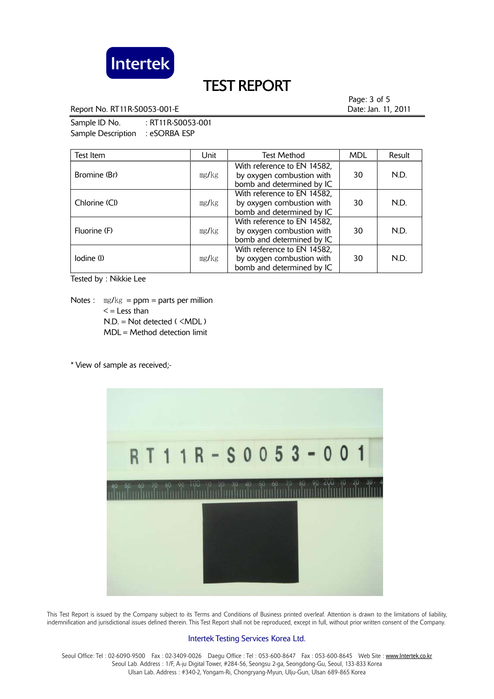

Report No. RT11R-S0053-001-E **Date:** Jan. 11, 2011

Page: 3 of 5

Sample ID No. : RT11R-S0053-001 Sample Description : eSORBA ESP

| Test Item     | Unit  | <b>Test Method</b>                                                                    | <b>MDL</b> | Result |
|---------------|-------|---------------------------------------------------------------------------------------|------------|--------|
| Bromine (Br)  | mg/kg | With reference to EN 14582,<br>by oxygen combustion with<br>bomb and determined by IC | 30         | N.D.   |
| Chlorine (Cl) | mg/kg | With reference to EN 14582,<br>by oxygen combustion with<br>bomb and determined by IC | 30         | N.D.   |
| Fluorine (F)  | mg/kg | With reference to EN 14582,<br>by oxygen combustion with<br>bomb and determined by IC | 30         | N.D.   |
| lodine (l)    | mg/kg | With reference to EN 14582,<br>by oxygen combustion with<br>bomb and determined by IC | 30         | N.D.   |

Tested by : Nikkie Lee

Notes :  $\text{mg/kg} = \text{ppm} = \text{parts per million}$  $\leq$  = Less than N.D. = Not detected ( <MDL ) MDL = Method detection limit

\* View of sample as received;-



 This Test Report is issued by the Company subject to its Terms and Conditions of Business printed overleaf. Attention is drawn to the limitations of liability, indemnification and jurisdictional issues defined therein. This Test Report shall not be reproduced, except in full, without prior written consent of the Company.

## Intertek Testing Services Korea Ltd.

Seoul Office: Tel: 02-6090-9500 Fax: 02-3409-0026 Daegu Office: Tel: 053-600-8647 Fax: 053-600-8645 Web Site: www.Intertek.co.kr Seoul Lab. Address : 1/F, A-ju Digital Tower, #284-56, Seongsu 2-ga, Seongdong-Gu, Seoul, 133-833 Korea Ulsan Lab. Address : #340-2, Yongam-Ri, Chongryang-Myun, Ulju-Gun, Ulsan 689-865 Korea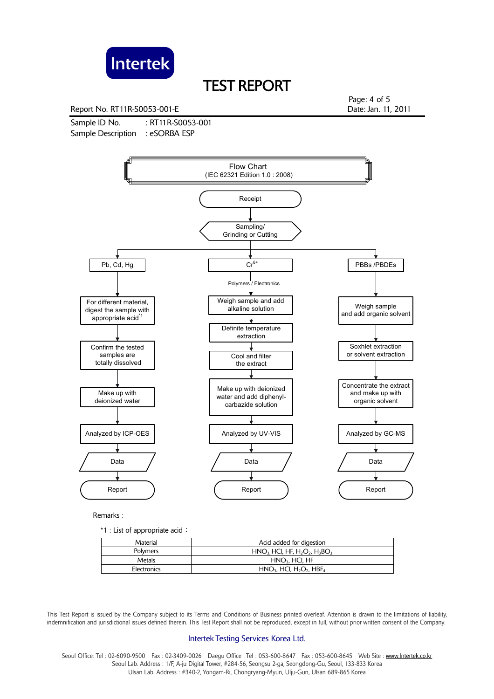

Report No. RT11R-S0053-001-E **Date: Jan. 11, 2011** 

Sample ID No. : RT11R-S0053-001 Sample Description : eSORBA ESP

Page: 4 of 5



Remarks :

\*1 : List of appropriate acid:

| Material    | Acid added for digestion                                       |
|-------------|----------------------------------------------------------------|
| Polymers    | $HNO3 HCl, HF, H2O2, H3BO3$                                    |
| Metals      | $HNO3$ , HCl, HF                                               |
| Electronics | $HNO3$ , HCI, H <sub>2</sub> O <sub>2</sub> , HBF <sub>4</sub> |

 This Test Report is issued by the Company subject to its Terms and Conditions of Business printed overleaf. Attention is drawn to the limitations of liability, indemnification and jurisdictional issues defined therein. This Test Report shall not be reproduced, except in full, without prior written consent of the Company.

### Intertek Testing Services Korea Ltd.

Seoul Office: Tel : 02-6090-9500 Fax : 02-3409-0026 Daegu Office : Tel : 053-600-8647 Fax : 053-600-8645 Web Site : www.Intertek.co.kr Seoul Lab. Address : 1/F, A-ju Digital Tower, #284-56, Seongsu 2-ga, Seongdong-Gu, Seoul, 133-833 Korea Ulsan Lab. Address : #340-2, Yongam-Ri, Chongryang-Myun, Ulju-Gun, Ulsan 689-865 Korea